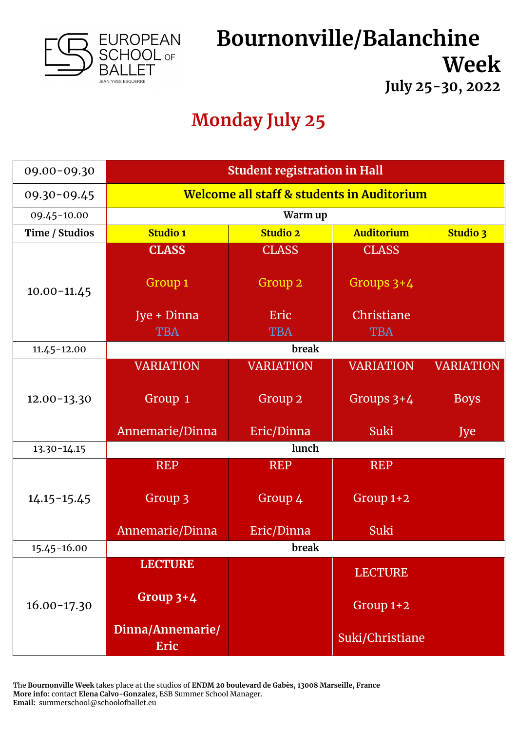

# **Bournonville/Balanchine Week**

**July 25-30, 2022**

## **Monday July 25**

| 09.00-09.30     | <b>Student registration in Hall</b>        |                                                         |                  |                  |
|-----------------|--------------------------------------------|---------------------------------------------------------|------------------|------------------|
| 09.30-09.45     | Welcome all staff & students in Auditorium |                                                         |                  |                  |
| 09.45-10.00     | Warm up                                    |                                                         |                  |                  |
| Time / Studios  | <b>Studio 1</b>                            | <b>Auditorium</b><br><b>Studio 2</b><br><b>Studio 3</b> |                  |                  |
|                 | <b>CLASS</b>                               | <b>CLASS</b>                                            | <b>CLASS</b>     |                  |
| $10.00 - 11.45$ | Group <sub>1</sub>                         | Group 2                                                 | Groups $3+4$     |                  |
|                 | Jye + Dinna                                | Eric                                                    | Christiane       |                  |
|                 | <b>TBA</b>                                 | <b>TBA</b>                                              | <b>TBA</b>       |                  |
| $11.45 - 12.00$ | break                                      |                                                         |                  |                  |
|                 | <b>VARIATION</b>                           | <b>VARIATION</b>                                        | <b>VARIATION</b> | <b>VARIATION</b> |
| $12.00 - 13.30$ | Group 1                                    | Group <sub>2</sub>                                      | Groups $3+4$     | <b>Boys</b>      |
|                 | Annemarie/Dinna                            | Eric/Dinna                                              | <b>Suki</b>      | Jye              |
| $13.30 - 14.15$ | lunch                                      |                                                         |                  |                  |
|                 | <b>REP</b>                                 | <b>REP</b>                                              | <b>REP</b>       |                  |
| $14.15 - 15.45$ | Group 3                                    | Group 4                                                 | Group $1+2$      |                  |
|                 | Annemarie/Dinna                            | Eric/Dinna                                              | <b>Suki</b>      |                  |
| 15.45-16.00     | break                                      |                                                         |                  |                  |
| $16.00 - 17.30$ | <b>LECTURE</b>                             |                                                         | <b>LECTURE</b>   |                  |
|                 | Group $3+4$                                |                                                         | Group $1+2$      |                  |
|                 | Dinna/Annemarie/<br>Eric                   |                                                         | Suki/Christiane  |                  |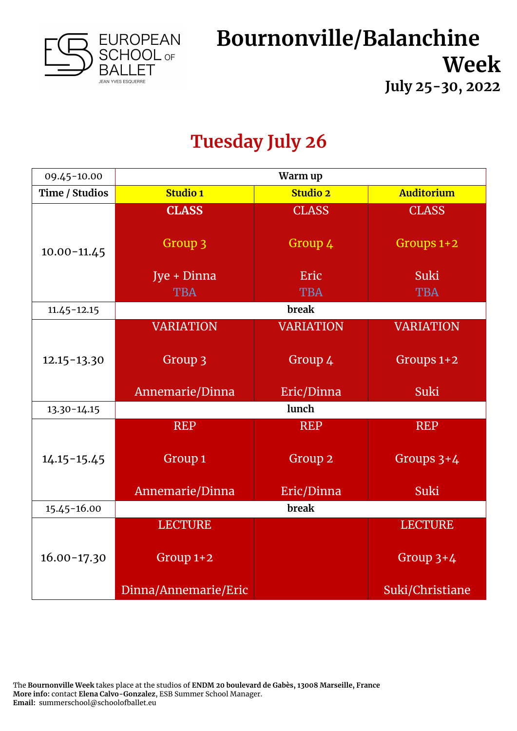

#### **Tuesday July 26**

| 09.45-10.00     | Warm up              |                  |                   |  |
|-----------------|----------------------|------------------|-------------------|--|
| Time / Studios  | <b>Studio 1</b>      | <b>Studio 2</b>  | <b>Auditorium</b> |  |
|                 | <b>CLASS</b>         | <b>CLASS</b>     | <b>CLASS</b>      |  |
| $10.00 - 11.45$ | Group 3              | Group 4          | Groups $1+2$      |  |
|                 | Jye + Dinna          | Eric             | <b>Suki</b>       |  |
|                 | <b>TBA</b>           | <b>TBA</b>       | <b>TBA</b>        |  |
| $11.45 - 12.15$ |                      | <b>break</b>     |                   |  |
|                 | <b>VARIATION</b>     | <b>VARIATION</b> | <b>VARIATION</b>  |  |
| $12.15 - 13.30$ | Group 3              | Group 4          | Groups 1+2        |  |
|                 | Annemarie/Dinna      | Eric/Dinna       | <b>Suki</b>       |  |
| $13.30 - 14.15$ | lunch                |                  |                   |  |
|                 | <b>REP</b>           | <b>REP</b>       | <b>REP</b>        |  |
| $14.15 - 15.45$ | Group <sub>1</sub>   | Group 2          | Groups $3+4$      |  |
|                 | Annemarie/Dinna      | Eric/Dinna       | Suki              |  |
| 15.45-16.00     | break                |                  |                   |  |
|                 | <b>LECTURE</b>       |                  | <b>LECTURE</b>    |  |
| $16.00 - 17.30$ | Group 1+2            |                  | Group $3+4$       |  |
|                 | Dinna/Annemarie/Eric |                  | Suki/Christiane   |  |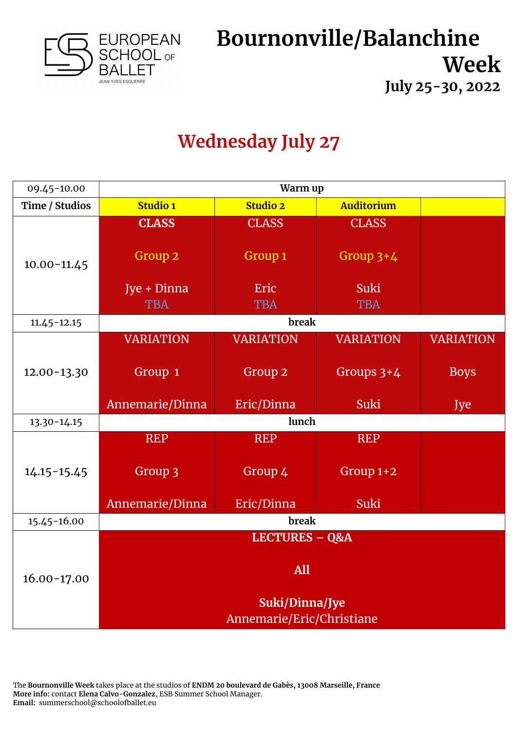

## **Wednesday July 27**

| 09.45-10.00     | Warm up                   |                    |                   |                  |
|-----------------|---------------------------|--------------------|-------------------|------------------|
| Time / Studios  | Studio 1                  | <b>Studio 2</b>    | <b>Auditorium</b> |                  |
|                 | <b>CLASS</b>              | <b>CLASS</b>       | <b>CLASS</b>      |                  |
| $10.00 - 11.45$ | Group <sub>2</sub>        | Group <sub>1</sub> | Group $3+4$       |                  |
|                 | Jye + Dinna               | Eric               | Suki              |                  |
|                 | <b>TBA</b>                | <b>TBA</b>         | <b>TBA</b>        |                  |
| $11.45 - 12.15$ |                           | break              |                   |                  |
|                 | <b>VARIATION</b>          | <b>VARIATION</b>   | <b>VARIATION</b>  | <b>VARIATION</b> |
| $12.00 - 13.30$ | Group 1                   | Group <sub>2</sub> | Groups $3+4$      | <b>Boys</b>      |
|                 | Annemarie/Dinna           | Eric/Dinna         | Suki              | Jye              |
| $13.30 - 14.15$ | lunch                     |                    |                   |                  |
|                 | <b>REP</b>                | <b>REP</b>         | <b>REP</b>        |                  |
| $14.15 - 15.45$ | Group 3                   | Group 4            | Group $1+2$       |                  |
|                 | Annemarie/Dinna           | Eric/Dinna         | Suki              |                  |
| 15.45-16.00     | break                     |                    |                   |                  |
|                 | <b>LECTURES - Q&amp;A</b> |                    |                   |                  |
| $16.00 - 17.00$ | All                       |                    |                   |                  |
|                 | Suki/Dinna/Jye            |                    |                   |                  |
|                 | Annemarie/Eric/Christiane |                    |                   |                  |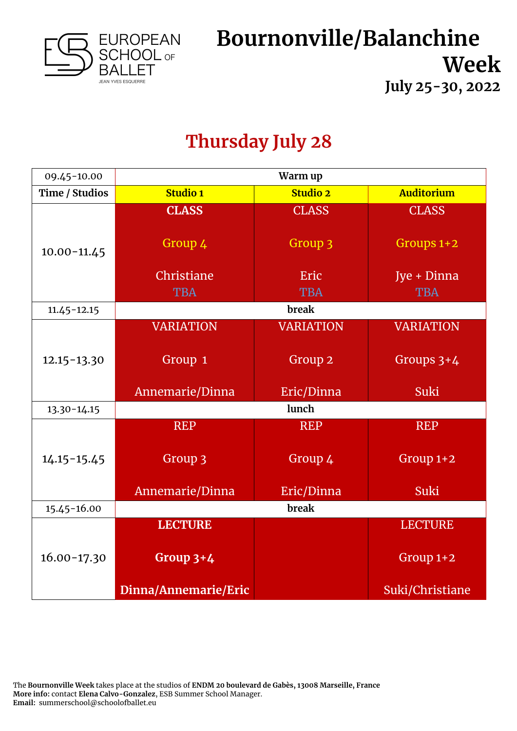

#### **Thursday July 28**

| 09.45-10.00     | Warm up              |                    |                   |  |
|-----------------|----------------------|--------------------|-------------------|--|
| Time / Studios  | <b>Studio 1</b>      | <b>Studio 2</b>    | <b>Auditorium</b> |  |
|                 | <b>CLASS</b>         | <b>CLASS</b>       | <b>CLASS</b>      |  |
| $10.00 - 11.45$ | Group 4              | Group 3            | Groups 1+2        |  |
|                 | Christiane           | Eric               | Jye + Dinna       |  |
|                 | <b>TBA</b>           | <b>TBA</b>         | <b>TBA</b>        |  |
| $11.45 - 12.15$ |                      | break              |                   |  |
|                 | <b>VARIATION</b>     | <b>VARIATION</b>   | <b>VARIATION</b>  |  |
| $12.15 - 13.30$ | Group 1              | Group <sub>2</sub> | Groups $3+4$      |  |
|                 | Annemarie/Dinna      | Eric/Dinna         | Suki              |  |
| $13.30 - 14.15$ | lunch                |                    |                   |  |
|                 | <b>REP</b>           | <b>REP</b>         | <b>REP</b>        |  |
| $14.15 - 15.45$ | Group 3              | Group 4            | Group $1+2$       |  |
|                 | Annemarie/Dinna      | Eric/Dinna         | Suki              |  |
| 15.45-16.00     | break                |                    |                   |  |
|                 | <b>LECTURE</b>       |                    | <b>LECTURE</b>    |  |
| $16.00 - 17.30$ | Group $3+4$          |                    | $Group 1+2$       |  |
|                 | Dinna/Annemarie/Eric |                    | Suki/Christiane   |  |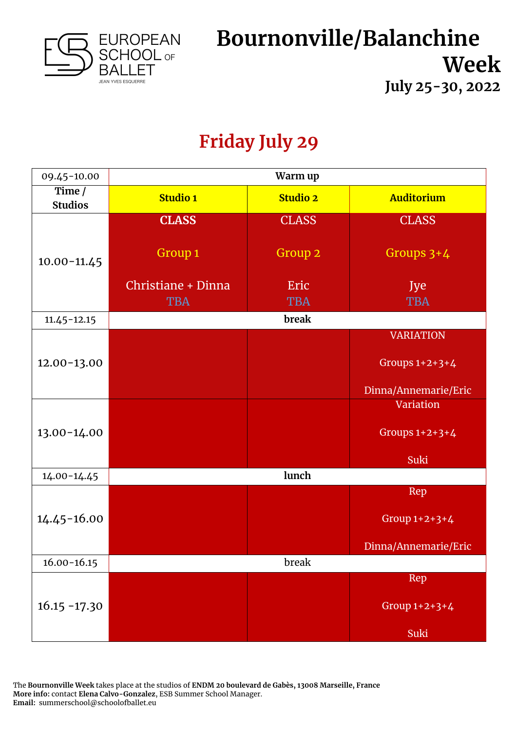

## **Friday July 29**

| 09.45-10.00                | Warm up            |                 |                      |
|----------------------------|--------------------|-----------------|----------------------|
| Time $/$<br><b>Studios</b> | <b>Studio 1</b>    | <b>Studio 2</b> | <b>Auditorium</b>    |
|                            | <b>CLASS</b>       | <b>CLASS</b>    | <b>CLASS</b>         |
| $10.00 - 11.45$            | Group 1            | Group 2         | Groups $3+4$         |
|                            | Christiane + Dinna | Eric            | Jye                  |
|                            | <b>TBA</b>         | <b>TBA</b>      | <b>TBA</b>           |
| $11.45 - 12.15$            |                    | break           |                      |
|                            |                    |                 | <b>VARIATION</b>     |
| $12.00 - 13.00$            |                    |                 | Groups $1+2+3+4$     |
|                            |                    |                 | Dinna/Annemarie/Eric |
|                            |                    |                 | Variation            |
| 13.00-14.00                |                    |                 | Groups $1+2+3+4$     |
|                            |                    |                 | Suki                 |
| $14.00 - 14.45$            |                    | lunch           |                      |
|                            |                    |                 | Rep                  |
| $14.45 - 16.00$            |                    |                 | Group $1+2+3+4$      |
|                            |                    |                 | Dinna/Annemarie/Eric |
| $16.00 - 16.15$            | break              |                 |                      |
| $16.15 - 17.30$            |                    |                 | Rep                  |
|                            |                    |                 | Group 1+2+3+4        |
|                            |                    |                 | Suki                 |